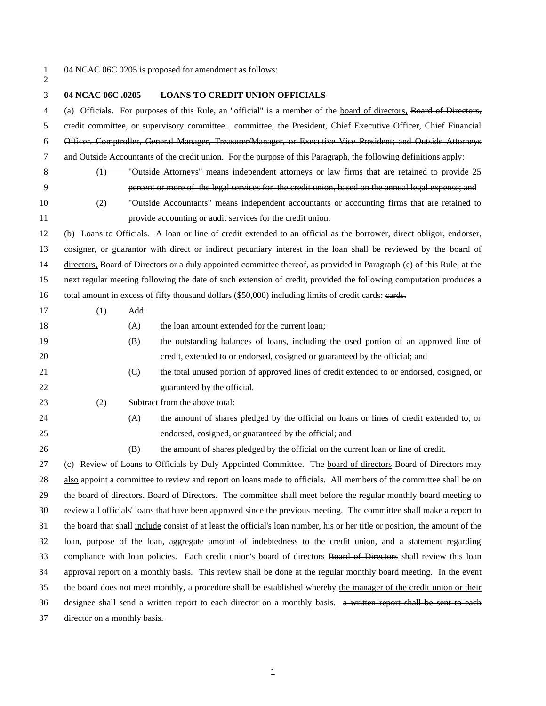$\frac{1}{2}$ 

04 NCAC 06C 0205 is proposed for amendment as follows:

| 3  | 04 NCAC 06C .0205                                                                                                            |                              | <b>LOANS TO CREDIT UNION OFFICIALS</b>                                                                              |  |
|----|------------------------------------------------------------------------------------------------------------------------------|------------------------------|---------------------------------------------------------------------------------------------------------------------|--|
| 4  |                                                                                                                              |                              | (a) Officials. For purposes of this Rule, an "official" is a member of the board of directors, Board of Directors,  |  |
| 5  |                                                                                                                              |                              | credit committee, or supervisory committee. committee; the President, Chief Executive Officer, Chief Financial      |  |
| 6  |                                                                                                                              |                              | Officer, Comptroller, General Manager, Treasurer/Manager, or Executive Vice President; and Outside Attorneys        |  |
| 7  |                                                                                                                              |                              | and Outside Accountants of the credit union. For the purpose of this Paragraph, the following definitions apply:    |  |
| 8  |                                                                                                                              |                              | (1) "Outside Attorneys" means independent attorneys or law firms that are retained to provide 25                    |  |
| 9  |                                                                                                                              |                              | percent or more of the legal services for the credit union, based on the annual legal expense; and                  |  |
| 10 | (2)                                                                                                                          |                              | "Outside Accountants" means independent accountants or accounting firms that are retained to                        |  |
| 11 |                                                                                                                              |                              | provide accounting or audit services for the credit union.                                                          |  |
| 12 |                                                                                                                              |                              | (b) Loans to Officials. A loan or line of credit extended to an official as the borrower, direct obligor, endorser, |  |
| 13 | cosigner, or guarantor with direct or indirect pecuniary interest in the loan shall be reviewed by the board of              |                              |                                                                                                                     |  |
| 14 | directors. Board of Directors or a duly appointed committee thereof, as provided in Paragraph (e) of this Rule, at the       |                              |                                                                                                                     |  |
| 15 | next regular meeting following the date of such extension of credit, provided the following computation produces a           |                              |                                                                                                                     |  |
| 16 | total amount in excess of fifty thousand dollars (\$50,000) including limits of credit cards: eards.                         |                              |                                                                                                                     |  |
| 17 | (1)                                                                                                                          | Add:                         |                                                                                                                     |  |
| 18 |                                                                                                                              | (A)                          | the loan amount extended for the current loan;                                                                      |  |
| 19 |                                                                                                                              | (B)                          | the outstanding balances of loans, including the used portion of an approved line of                                |  |
| 20 |                                                                                                                              |                              | credit, extended to or endorsed, cosigned or guaranteed by the official; and                                        |  |
| 21 |                                                                                                                              | (C)                          | the total unused portion of approved lines of credit extended to or endorsed, cosigned, or                          |  |
| 22 |                                                                                                                              |                              | guaranteed by the official.                                                                                         |  |
| 23 | (2)                                                                                                                          |                              | Subtract from the above total:                                                                                      |  |
| 24 |                                                                                                                              | (A)                          | the amount of shares pledged by the official on loans or lines of credit extended to, or                            |  |
| 25 |                                                                                                                              |                              | endorsed, cosigned, or guaranteed by the official; and                                                              |  |
| 26 |                                                                                                                              | (B)                          | the amount of shares pledged by the official on the current loan or line of credit.                                 |  |
| 27 |                                                                                                                              |                              | (c) Review of Loans to Officials by Duly Appointed Committee. The board of directors Board of Directors may         |  |
| 28 | also appoint a committee to review and report on loans made to officials. All members of the committee shall be on           |                              |                                                                                                                     |  |
| 29 |                                                                                                                              |                              | the board of directors. Board of Directors. The committee shall meet before the regular monthly board meeting to    |  |
| 30 | review all officials' loans that have been approved since the previous meeting. The committee shall make a report to         |                              |                                                                                                                     |  |
| 31 | the board that shall include consist of at least the official's loan number, his or her title or position, the amount of the |                              |                                                                                                                     |  |
| 32 | loan, purpose of the loan, aggregate amount of indebtedness to the credit union, and a statement regarding                   |                              |                                                                                                                     |  |
| 33 | compliance with loan policies. Each credit union's board of directors Board of Directors shall review this loan              |                              |                                                                                                                     |  |
| 34 | approval report on a monthly basis. This review shall be done at the regular monthly board meeting. In the event             |                              |                                                                                                                     |  |
| 35 | the board does not meet monthly, a procedure shall be established whereby the manager of the credit union or their           |                              |                                                                                                                     |  |
| 36 | designee shall send a written report to each director on a monthly basis. a written report shall be sent to each             |                              |                                                                                                                     |  |
| 37 |                                                                                                                              | director on a monthly basis. |                                                                                                                     |  |